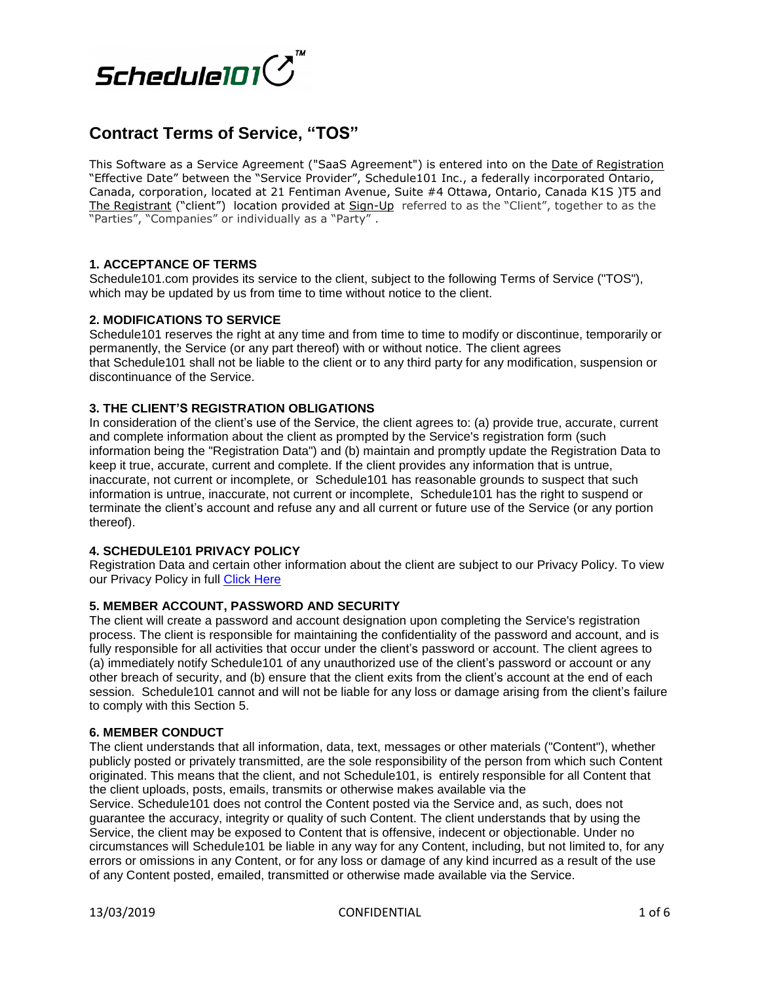

## **Contract Terms of Service, "TOS"**

This Software as a Service Agreement ("SaaS Agreement") is entered into on the Date of Registration "Effective Date" between the "Service Provider", Schedule101 Inc., a federally incorporated Ontario, Canada, corporation, located at 21 Fentiman Avenue, Suite #4 Ottawa, Ontario, Canada K1S )T5 and The Registrant ("client") location provided at Sign-Up referred to as the "Client", together to as the "Parties", "Companies" or individually as a "Party" .

#### **1. ACCEPTANCE OF TERMS**

Schedule101.com provides its service to the client, subject to the following Terms of Service ("TOS"), which may be updated by us from time to time without notice to the client.

## **2. MODIFICATIONS TO SERVICE**

Schedule101 reserves the right at any time and from time to time to modify or discontinue, temporarily or permanently, the Service (or any part thereof) with or without notice. The client agrees that Schedule101 shall not be liable to the client or to any third party for any modification, suspension or discontinuance of the Service.

## **3. THE CLIENT'S REGISTRATION OBLIGATIONS**

In consideration of the client's use of the Service, the client agrees to: (a) provide true, accurate, current and complete information about the client as prompted by the Service's registration form (such information being the "Registration Data") and (b) maintain and promptly update the Registration Data to keep it true, accurate, current and complete. If the client provides any information that is untrue, inaccurate, not current or incomplete, or Schedule101 has reasonable grounds to suspect that such information is untrue, inaccurate, not current or incomplete, Schedule101 has the right to suspend or terminate the client's account and refuse any and all current or future use of the Service (or any portion thereof).

#### **4. SCHEDULE101 PRIVACY POLICY**

Registration Data and certain other information about the client are subject to our Privacy Policy. To view our Privacy Policy in full [Click Here](http://www.schedule101.com/#!blank/c1cg4)

#### **5. MEMBER ACCOUNT, PASSWORD AND SECURITY**

The client will create a password and account designation upon completing the Service's registration process. The client is responsible for maintaining the confidentiality of the password and account, and is fully responsible for all activities that occur under the client's password or account. The client agrees to (a) immediately notify Schedule101 of any unauthorized use of the client's password or account or any other breach of security, and (b) ensure that the client exits from the client's account at the end of each session. Schedule101 cannot and will not be liable for any loss or damage arising from the client's failure to comply with this Section 5.

#### **6. MEMBER CONDUCT**

The client understands that all information, data, text, messages or other materials ("Content"), whether publicly posted or privately transmitted, are the sole responsibility of the person from which such Content originated. This means that the client, and not Schedule101, is entirely responsible for all Content that the client uploads, posts, emails, transmits or otherwise makes available via the

Service. Schedule101 does not control the Content posted via the Service and, as such, does not guarantee the accuracy, integrity or quality of such Content. The client understands that by using the Service, the client may be exposed to Content that is offensive, indecent or objectionable. Under no circumstances will Schedule101 be liable in any way for any Content, including, but not limited to, for any errors or omissions in any Content, or for any loss or damage of any kind incurred as a result of the use of any Content posted, emailed, transmitted or otherwise made available via the Service.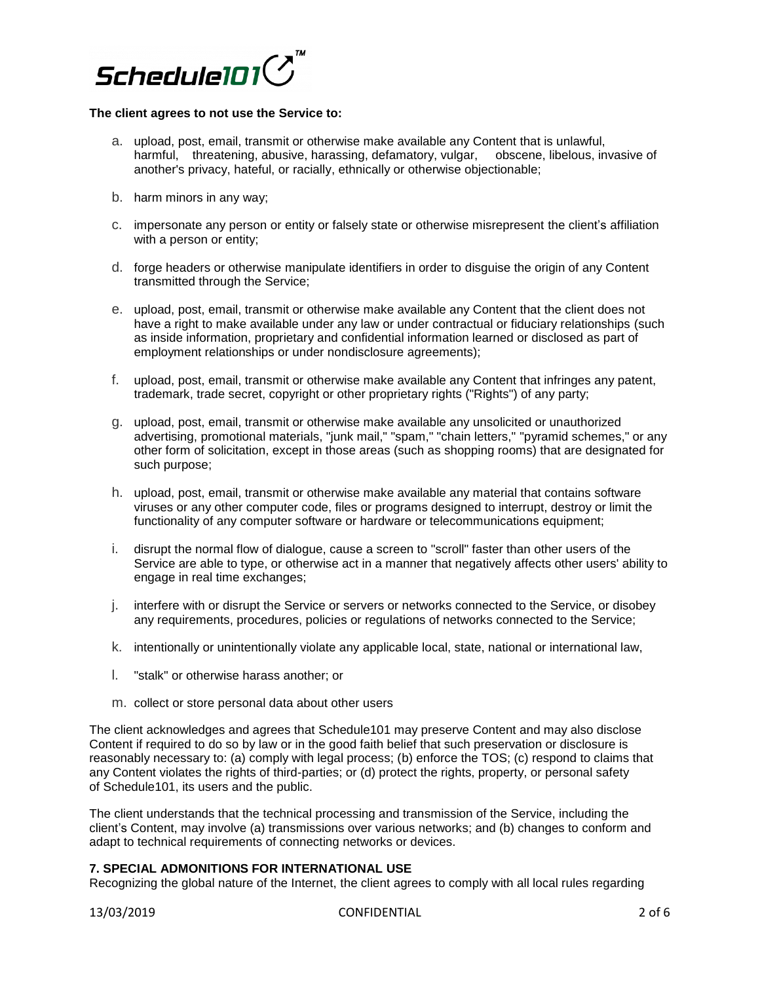

#### **The client agrees to not use the Service to:**

- a. upload, post, email, transmit or otherwise make available any Content that is unlawful, harmful, threatening, abusive, harassing, defamatory, vulgar, obscene, libelous, invasive of another's privacy, hateful, or racially, ethnically or otherwise objectionable;
- b. harm minors in any way;
- c. impersonate any person or entity or falsely state or otherwise misrepresent the client's affiliation with a person or entity;
- d. forge headers or otherwise manipulate identifiers in order to disguise the origin of any Content transmitted through the Service;
- e. upload, post, email, transmit or otherwise make available any Content that the client does not have a right to make available under any law or under contractual or fiduciary relationships (such as inside information, proprietary and confidential information learned or disclosed as part of employment relationships or under nondisclosure agreements);
- f. upload, post, email, transmit or otherwise make available any Content that infringes any patent, trademark, trade secret, copyright or other proprietary rights ("Rights") of any party;
- g. upload, post, email, transmit or otherwise make available any unsolicited or unauthorized advertising, promotional materials, "junk mail," "spam," "chain letters," "pyramid schemes," or any other form of solicitation, except in those areas (such as shopping rooms) that are designated for such purpose;
- h. upload, post, email, transmit or otherwise make available any material that contains software viruses or any other computer code, files or programs designed to interrupt, destroy or limit the functionality of any computer software or hardware or telecommunications equipment;
- i. disrupt the normal flow of dialogue, cause a screen to "scroll" faster than other users of the Service are able to type, or otherwise act in a manner that negatively affects other users' ability to engage in real time exchanges;
- j. interfere with or disrupt the Service or servers or networks connected to the Service, or disobey any requirements, procedures, policies or regulations of networks connected to the Service;
- k. intentionally or unintentionally violate any applicable local, state, national or international law,
- l. "stalk" or otherwise harass another; or
- m. collect or store personal data about other users

The client acknowledges and agrees that Schedule101 may preserve Content and may also disclose Content if required to do so by law or in the good faith belief that such preservation or disclosure is reasonably necessary to: (a) comply with legal process; (b) enforce the TOS; (c) respond to claims that any Content violates the rights of third-parties; or (d) protect the rights, property, or personal safety of Schedule101, its users and the public.

The client understands that the technical processing and transmission of the Service, including the client's Content, may involve (a) transmissions over various networks; and (b) changes to conform and adapt to technical requirements of connecting networks or devices.

## **7. SPECIAL ADMONITIONS FOR INTERNATIONAL USE**

Recognizing the global nature of the Internet, the client agrees to comply with all local rules regarding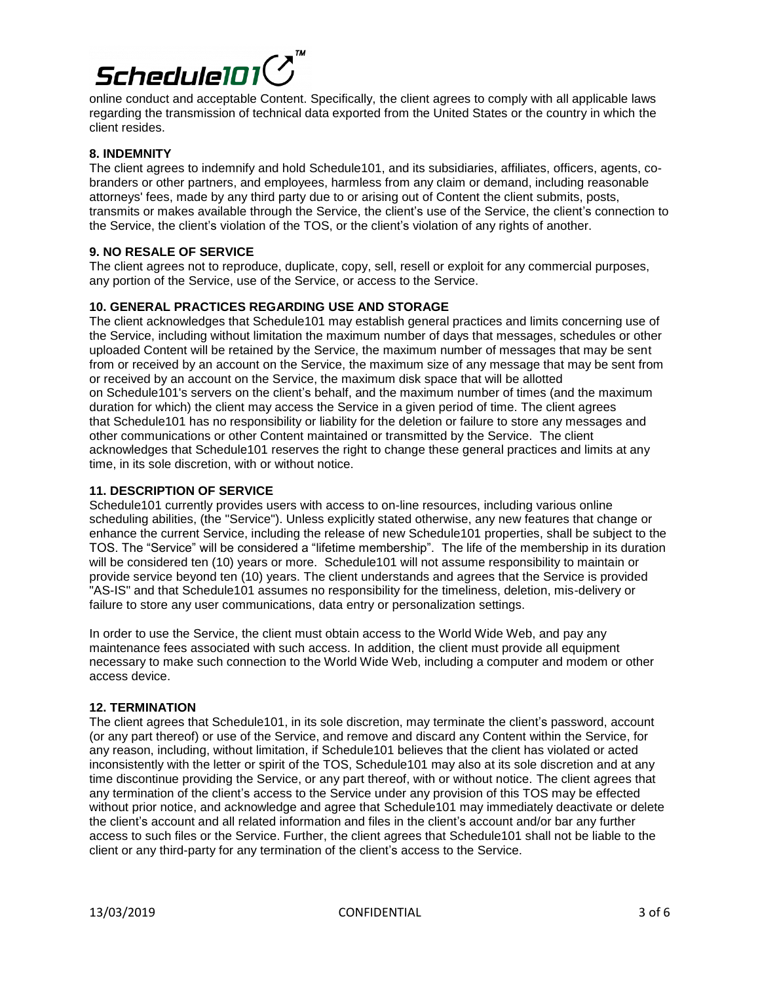

regarding the transmission of technical data exported from the United States or the country in which the client resides.

#### **8. INDEMNITY**

The client agrees to indemnify and hold Schedule101, and its subsidiaries, affiliates, officers, agents, cobranders or other partners, and employees, harmless from any claim or demand, including reasonable attorneys' fees, made by any third party due to or arising out of Content the client submits, posts, transmits or makes available through the Service, the client's use of the Service, the client's connection to the Service, the client's violation of the TOS, or the client's violation of any rights of another.

#### **9. NO RESALE OF SERVICE**

The client agrees not to reproduce, duplicate, copy, sell, resell or exploit for any commercial purposes, any portion of the Service, use of the Service, or access to the Service.

#### **10. GENERAL PRACTICES REGARDING USE AND STORAGE**

The client acknowledges that Schedule101 may establish general practices and limits concerning use of the Service, including without limitation the maximum number of days that messages, schedules or other uploaded Content will be retained by the Service, the maximum number of messages that may be sent from or received by an account on the Service, the maximum size of any message that may be sent from or received by an account on the Service, the maximum disk space that will be allotted on Schedule101's servers on the client's behalf, and the maximum number of times (and the maximum duration for which) the client may access the Service in a given period of time. The client agrees that Schedule101 has no responsibility or liability for the deletion or failure to store any messages and other communications or other Content maintained or transmitted by the Service. The client acknowledges that Schedule101 reserves the right to change these general practices and limits at any time, in its sole discretion, with or without notice.

## **11. DESCRIPTION OF SERVICE**

Schedule101 currently provides users with access to on-line resources, including various online scheduling abilities, (the "Service"). Unless explicitly stated otherwise, any new features that change or enhance the current Service, including the release of new Schedule101 properties, shall be subject to the TOS. The "Service" will be considered a "lifetime membership". The life of the membership in its duration will be considered ten (10) years or more. Schedule101 will not assume responsibility to maintain or provide service beyond ten (10) years. The client understands and agrees that the Service is provided "AS-IS" and that Schedule101 assumes no responsibility for the timeliness, deletion, mis-delivery or failure to store any user communications, data entry or personalization settings.

In order to use the Service, the client must obtain access to the World Wide Web, and pay any maintenance fees associated with such access. In addition, the client must provide all equipment necessary to make such connection to the World Wide Web, including a computer and modem or other access device.

#### **12. TERMINATION**

The client agrees that Schedule101, in its sole discretion, may terminate the client's password, account (or any part thereof) or use of the Service, and remove and discard any Content within the Service, for any reason, including, without limitation, if Schedule101 believes that the client has violated or acted inconsistently with the letter or spirit of the TOS, Schedule101 may also at its sole discretion and at any time discontinue providing the Service, or any part thereof, with or without notice. The client agrees that any termination of the client's access to the Service under any provision of this TOS may be effected without prior notice, and acknowledge and agree that Schedule101 may immediately deactivate or delete the client's account and all related information and files in the client's account and/or bar any further access to such files or the Service. Further, the client agrees that Schedule101 shall not be liable to the client or any third-party for any termination of the client's access to the Service.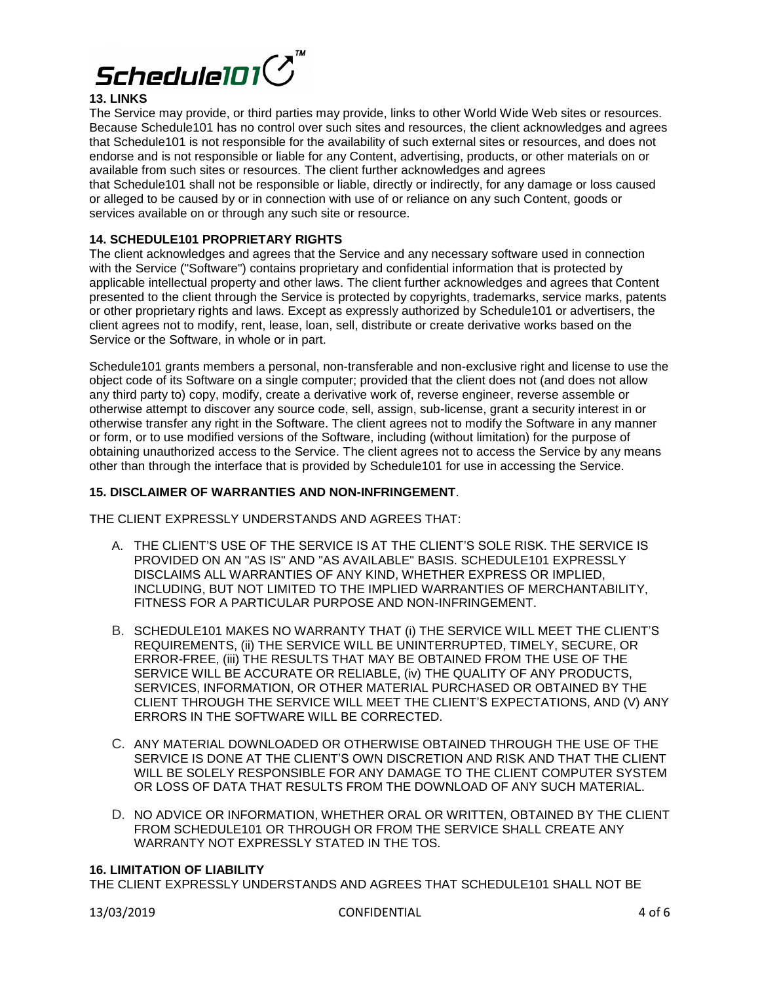

## **13. LINKS**

The Service may provide, or third parties may provide, links to other World Wide Web sites or resources. Because Schedule101 has no control over such sites and resources, the client acknowledges and agrees that Schedule101 is not responsible for the availability of such external sites or resources, and does not endorse and is not responsible or liable for any Content, advertising, products, or other materials on or available from such sites or resources. The client further acknowledges and agrees that Schedule101 shall not be responsible or liable, directly or indirectly, for any damage or loss caused or alleged to be caused by or in connection with use of or reliance on any such Content, goods or services available on or through any such site or resource.

## **14. SCHEDULE101 PROPRIETARY RIGHTS**

The client acknowledges and agrees that the Service and any necessary software used in connection with the Service ("Software") contains proprietary and confidential information that is protected by applicable intellectual property and other laws. The client further acknowledges and agrees that Content presented to the client through the Service is protected by copyrights, trademarks, service marks, patents or other proprietary rights and laws. Except as expressly authorized by Schedule101 or advertisers, the client agrees not to modify, rent, lease, loan, sell, distribute or create derivative works based on the Service or the Software, in whole or in part.

Schedule101 grants members a personal, non-transferable and non-exclusive right and license to use the object code of its Software on a single computer; provided that the client does not (and does not allow any third party to) copy, modify, create a derivative work of, reverse engineer, reverse assemble or otherwise attempt to discover any source code, sell, assign, sub-license, grant a security interest in or otherwise transfer any right in the Software. The client agrees not to modify the Software in any manner or form, or to use modified versions of the Software, including (without limitation) for the purpose of obtaining unauthorized access to the Service. The client agrees not to access the Service by any means other than through the interface that is provided by Schedule101 for use in accessing the Service.

## **15. DISCLAIMER OF WARRANTIES AND NON-INFRINGEMENT**.

THE CLIENT EXPRESSLY UNDERSTANDS AND AGREES THAT:

- A. THE CLIENT'S USE OF THE SERVICE IS AT THE CLIENT'S SOLE RISK. THE SERVICE IS PROVIDED ON AN "AS IS" AND "AS AVAILABLE" BASIS. SCHEDULE101 EXPRESSLY DISCLAIMS ALL WARRANTIES OF ANY KIND, WHETHER EXPRESS OR IMPLIED, INCLUDING, BUT NOT LIMITED TO THE IMPLIED WARRANTIES OF MERCHANTABILITY, FITNESS FOR A PARTICULAR PURPOSE AND NON-INFRINGEMENT.
- B. SCHEDULE101 MAKES NO WARRANTY THAT (i) THE SERVICE WILL MEET THE CLIENT'S REQUIREMENTS, (ii) THE SERVICE WILL BE UNINTERRUPTED, TIMELY, SECURE, OR ERROR-FREE, (iii) THE RESULTS THAT MAY BE OBTAINED FROM THE USE OF THE SERVICE WILL BE ACCURATE OR RELIABLE, (iv) THE QUALITY OF ANY PRODUCTS, SERVICES, INFORMATION, OR OTHER MATERIAL PURCHASED OR OBTAINED BY THE CLIENT THROUGH THE SERVICE WILL MEET THE CLIENT'S EXPECTATIONS, AND (V) ANY ERRORS IN THE SOFTWARE WILL BE CORRECTED.
- C. ANY MATERIAL DOWNLOADED OR OTHERWISE OBTAINED THROUGH THE USE OF THE SERVICE IS DONE AT THE CLIENT'S OWN DISCRETION AND RISK AND THAT THE CLIENT WILL BE SOLELY RESPONSIBLE FOR ANY DAMAGE TO THE CLIENT COMPUTER SYSTEM OR LOSS OF DATA THAT RESULTS FROM THE DOWNLOAD OF ANY SUCH MATERIAL.
- D. NO ADVICE OR INFORMATION, WHETHER ORAL OR WRITTEN, OBTAINED BY THE CLIENT FROM SCHEDULE101 OR THROUGH OR FROM THE SERVICE SHALL CREATE ANY WARRANTY NOT EXPRESSLY STATED IN THE TOS.

#### **16. LIMITATION OF LIABILITY**

THE CLIENT EXPRESSLY UNDERSTANDS AND AGREES THAT SCHEDULE101 SHALL NOT BE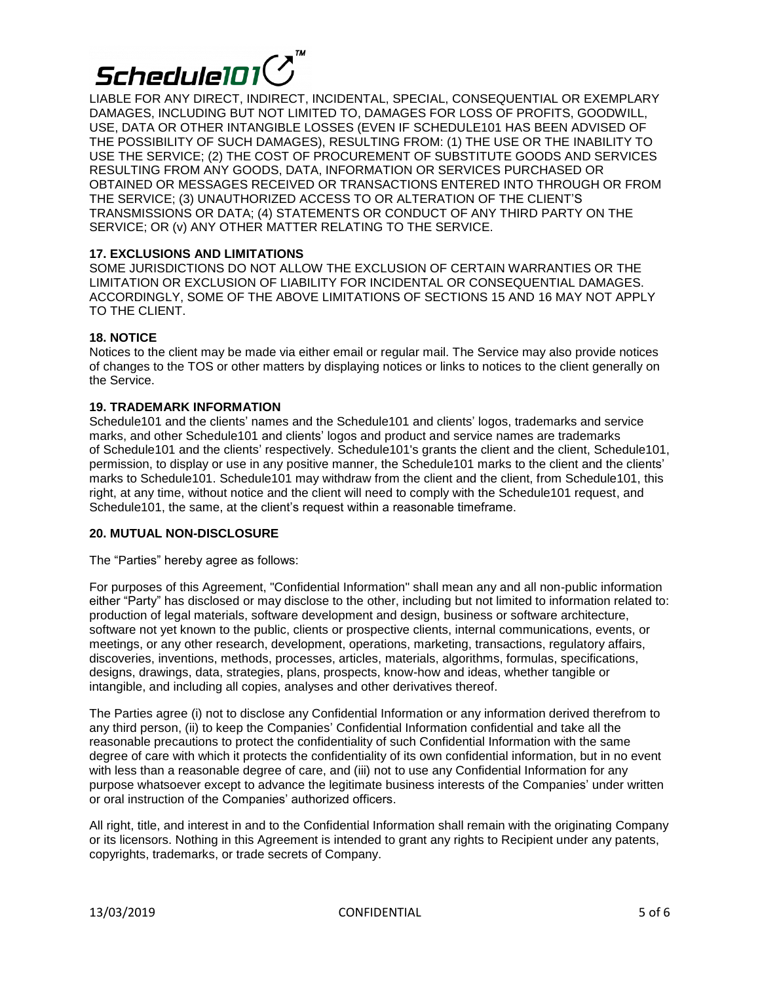# Schedule101 $\overline{C}$

LIABLE FOR ANY DIRECT, INDIRECT, INCIDENTAL, SPECIAL, CONSEQUENTIAL OR EXEMPLARY DAMAGES, INCLUDING BUT NOT LIMITED TO, DAMAGES FOR LOSS OF PROFITS, GOODWILL, USE, DATA OR OTHER INTANGIBLE LOSSES (EVEN IF SCHEDULE101 HAS BEEN ADVISED OF THE POSSIBILITY OF SUCH DAMAGES), RESULTING FROM: (1) THE USE OR THE INABILITY TO USE THE SERVICE; (2) THE COST OF PROCUREMENT OF SUBSTITUTE GOODS AND SERVICES RESULTING FROM ANY GOODS, DATA, INFORMATION OR SERVICES PURCHASED OR OBTAINED OR MESSAGES RECEIVED OR TRANSACTIONS ENTERED INTO THROUGH OR FROM THE SERVICE; (3) UNAUTHORIZED ACCESS TO OR ALTERATION OF THE CLIENT'S TRANSMISSIONS OR DATA; (4) STATEMENTS OR CONDUCT OF ANY THIRD PARTY ON THE SERVICE; OR (v) ANY OTHER MATTER RELATING TO THE SERVICE.

## **17. EXCLUSIONS AND LIMITATIONS**

SOME JURISDICTIONS DO NOT ALLOW THE EXCLUSION OF CERTAIN WARRANTIES OR THE LIMITATION OR EXCLUSION OF LIABILITY FOR INCIDENTAL OR CONSEQUENTIAL DAMAGES. ACCORDINGLY, SOME OF THE ABOVE LIMITATIONS OF SECTIONS 15 AND 16 MAY NOT APPLY TO THE CLIENT.

## **18. NOTICE**

Notices to the client may be made via either email or regular mail. The Service may also provide notices of changes to the TOS or other matters by displaying notices or links to notices to the client generally on the Service.

#### **19. TRADEMARK INFORMATION**

Schedule101 and the clients' names and the Schedule101 and clients' logos, trademarks and service marks, and other Schedule101 and clients' logos and product and service names are trademarks of Schedule101 and the clients' respectively. Schedule101's grants the client and the client, Schedule101, permission, to display or use in any positive manner, the Schedule101 marks to the client and the clients' marks to Schedule101. Schedule101 may withdraw from the client and the client, from Schedule101, this right, at any time, without notice and the client will need to comply with the Schedule101 request, and Schedule101, the same, at the client's request within a reasonable timeframe.

#### **20. MUTUAL NON-DISCLOSURE**

The "Parties" hereby agree as follows:

For purposes of this Agreement, "Confidential Information" shall mean any and all non-public information either "Party" has disclosed or may disclose to the other, including but not limited to information related to: production of legal materials, software development and design, business or software architecture, software not yet known to the public, clients or prospective clients, internal communications, events, or meetings, or any other research, development, operations, marketing, transactions, regulatory affairs, discoveries, inventions, methods, processes, articles, materials, algorithms, formulas, specifications, designs, drawings, data, strategies, plans, prospects, know-how and ideas, whether tangible or intangible, and including all copies, analyses and other derivatives thereof.

The Parties agree (i) not to disclose any Confidential Information or any information derived therefrom to any third person, (ii) to keep the Companies' Confidential Information confidential and take all the reasonable precautions to protect the confidentiality of such Confidential Information with the same degree of care with which it protects the confidentiality of its own confidential information, but in no event with less than a reasonable degree of care, and (iii) not to use any Confidential Information for any purpose whatsoever except to advance the legitimate business interests of the Companies' under written or oral instruction of the Companies' authorized officers.

All right, title, and interest in and to the Confidential Information shall remain with the originating Company or its licensors. Nothing in this Agreement is intended to grant any rights to Recipient under any patents, copyrights, trademarks, or trade secrets of Company.